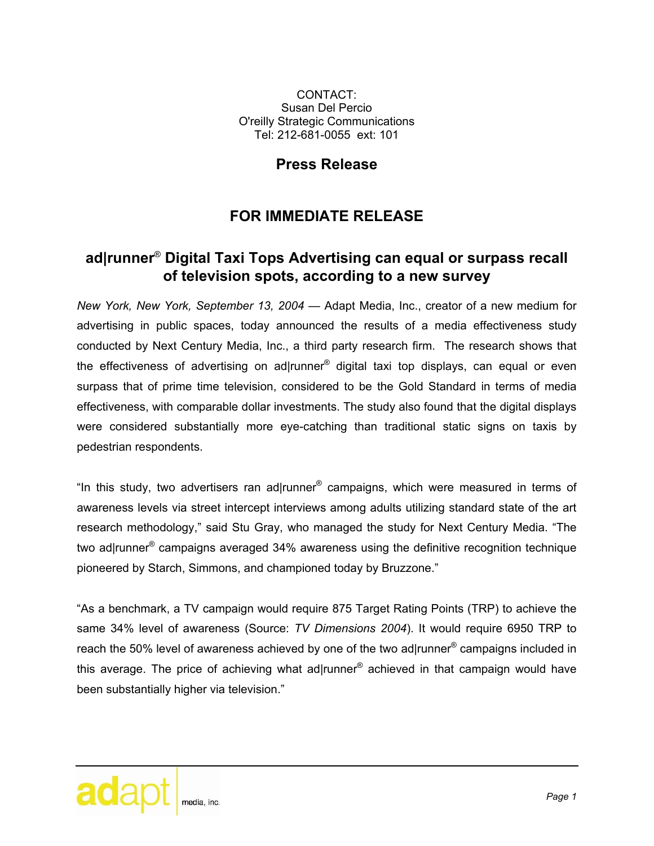CONTACT: Susan Del Percio O'reilly Strategic Communications Tel: 212-681-0055 ext: 101

## **Press Release**

## **FOR IMMEDIATE RELEASE**

## **ad|runner**® **Digital Taxi Tops Advertising can equal or surpass recall of television spots, according to a new survey**

*New York, New York, September 13, 2004* — Adapt Media, Inc., creator of a new medium for advertising in public spaces, today announced the results of a media effectiveness study conducted by Next Century Media, Inc., a third party research firm. The research shows that the effectiveness of advertising on ad|runner® digital taxi top displays, can equal or even surpass that of prime time television, considered to be the Gold Standard in terms of media effectiveness, with comparable dollar investments. The study also found that the digital displays were considered substantially more eye-catching than traditional static signs on taxis by pedestrian respondents.

"In this study, two advertisers ran ad|runner® campaigns, which were measured in terms of awareness levels via street intercept interviews among adults utilizing standard state of the art research methodology," said Stu Gray, who managed the study for Next Century Media. "The two ad|runner<sup>®</sup> campaigns averaged 34% awareness using the definitive recognition technique pioneered by Starch, Simmons, and championed today by Bruzzone."

"As a benchmark, a TV campaign would require 875 Target Rating Points (TRP) to achieve the same 34% level of awareness (Source: *TV Dimensions 2004*). It would require 6950 TRP to reach the 50% level of awareness achieved by one of the two ad|runner<sup>®</sup> campaigns included in this average. The price of achieving what ad|runner® achieved in that campaign would have been substantially higher via television."

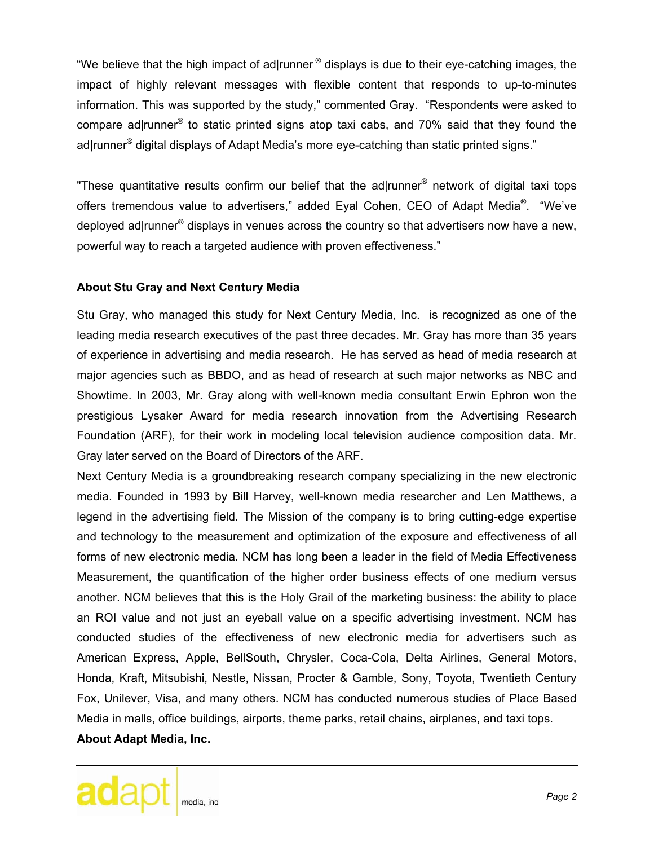"We believe that the high impact of ad|runner  $\mathcal{O}$  displays is due to their eye-catching images, the impact of highly relevant messages with flexible content that responds to up-to-minutes information. This was supported by the study," commented Gray. "Respondents were asked to compare ad|runner® to static printed signs atop taxi cabs, and 70% said that they found the ad|runner<sup>®</sup> digital displays of Adapt Media's more eye-catching than static printed signs."

"These quantitative results confirm our belief that the ad|runner<sup>®</sup> network of digital taxi tops offers tremendous value to advertisers," added Eyal Cohen, CEO of Adapt Media<sup>®</sup>. "We've deployed ad|runner® displays in venues across the country so that advertisers now have a new, powerful way to reach a targeted audience with proven effectiveness."

## **About Stu Gray and Next Century Media**

Stu Gray, who managed this study for Next Century Media, Inc. is recognized as one of the leading media research executives of the past three decades. Mr. Gray has more than 35 years of experience in advertising and media research. He has served as head of media research at major agencies such as BBDO, and as head of research at such major networks as NBC and Showtime. In 2003, Mr. Gray along with well-known media consultant Erwin Ephron won the prestigious Lysaker Award for media research innovation from the Advertising Research Foundation (ARF), for their work in modeling local television audience composition data. Mr. Gray later served on the Board of Directors of the ARF.

Next Century Media is a groundbreaking research company specializing in the new electronic media. Founded in 1993 by Bill Harvey, well-known media researcher and Len Matthews, a legend in the advertising field. The Mission of the company is to bring cutting-edge expertise and technology to the measurement and optimization of the exposure and effectiveness of all forms of new electronic media. NCM has long been a leader in the field of Media Effectiveness Measurement, the quantification of the higher order business effects of one medium versus another. NCM believes that this is the Holy Grail of the marketing business: the ability to place an ROI value and not just an eyeball value on a specific advertising investment. NCM has conducted studies of the effectiveness of new electronic media for advertisers such as American Express, Apple, BellSouth, Chrysler, Coca-Cola, Delta Airlines, General Motors, Honda, Kraft, Mitsubishi, Nestle, Nissan, Procter & Gamble, Sony, Toyota, Twentieth Century Fox, Unilever, Visa, and many others. NCM has conducted numerous studies of Place Based Media in malls, office buildings, airports, theme parks, retail chains, airplanes, and taxi tops. **About Adapt Media, Inc.**